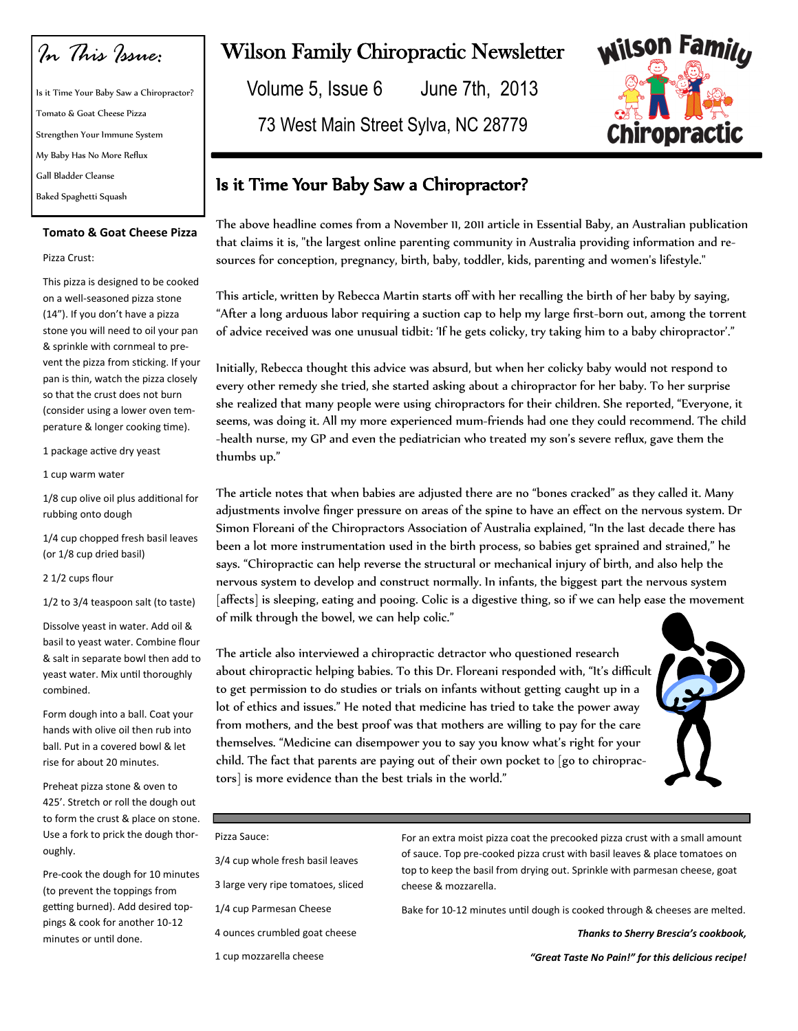*In This Issue:*

Is it Time Your Baby Saw a Chiropractor? Tomato & Goat Cheese Pizza Strengthen Your Immune System My Baby Has No More Reflux Gall Bladder Cleanse Baked Spaghetti Squash

#### **Tomato & Goat Cheese Pizza**

#### Pizza Crust:

This pizza is designed to be cooked on a well-seasoned pizza stone (14"). If you don't have a pizza stone you will need to oil your pan & sprinkle with cornmeal to prevent the pizza from sticking. If your pan is thin, watch the pizza closely so that the crust does not burn (consider using a lower oven temperature & longer cooking time).

1 package active dry yeast

1 cup warm water

1/8 cup olive oil plus additional for rubbing onto dough

1/4 cup chopped fresh basil leaves (or 1/8 cup dried basil)

2 1/2 cups flour

1/2 to 3/4 teaspoon salt (to taste)

Dissolve yeast in water. Add oil & basil to yeast water. Combine flour & salt in separate bowl then add to yeast water. Mix until thoroughly combined.

Form dough into a ball. Coat your hands with olive oil then rub into ball. Put in a covered bowl & let rise for about 20 minutes.

Preheat pizza stone & oven to 425'. Stretch or roll the dough out to form the crust & place on stone. Use a fork to prick the dough thoroughly.

Pre-cook the dough for 10 minutes (to prevent the toppings from getting burned). Add desired toppings & cook for another 10-12 minutes or until done.

# Wilson Family Chiropractic Newsletter

Volume 5, Issue 6 June 7th, 2013

73 West Main Street Sylva, NC 28779



## Is it Time Your Baby Saw a Chiropractor?

The above headline comes from a November 11, 2011 article in Essential Baby, an Australian publication that claims it is, "the largest online parenting community in Australia providing information and resources for conception, pregnancy, birth, baby, toddler, kids, parenting and women's lifestyle."

This article, written by Rebecca Martin starts off with her recalling the birth of her baby by saying, "After a long arduous labor requiring a suction cap to help my large first-born out, among the torrent of advice received was one unusual tidbit: 'If he gets colicky, try taking him to a baby chiropractor'."

Initially, Rebecca thought this advice was absurd, but when her colicky baby would not respond to every other remedy she tried, she started asking about a chiropractor for her baby. To her surprise she realized that many people were using chiropractors for their children. She reported, "Everyone, it seems, was doing it. All my more experienced mum-friends had one they could recommend. The child -health nurse, my GP and even the pediatrician who treated my son's severe reflux, gave them the thumbs up."

The article notes that when babies are adjusted there are no "bones cracked" as they called it. Many adjustments involve finger pressure on areas of the spine to have an effect on the nervous system. Dr Simon Floreani of the Chiropractors Association of Australia explained, "In the last decade there has been a lot more instrumentation used in the birth process, so babies get sprained and strained," he says. "Chiropractic can help reverse the structural or mechanical injury of birth, and also help the nervous system to develop and construct normally. In infants, the biggest part the nervous system [affects] is sleeping, eating and pooing. Colic is a digestive thing, so if we can help ease the movement of milk through the bowel, we can help colic."

The article also interviewed a chiropractic detractor who questioned research about chiropractic helping babies. To this Dr. Floreani responded with, "It's difficult to get permission to do studies or trials on infants without getting caught up in a lot of ethics and issues." He noted that medicine has tried to take the power away from mothers, and the best proof was that mothers are willing to pay for the care themselves. "Medicine can disempower you to say you know what's right for your child. The fact that parents are paying out of their own pocket to [go to chiropractors] is more evidence than the best trials in the world."



Pizza Sauce:

3/4 cup whole fresh basil leaves 3 large very ripe tomatoes, sliced 1/4 cup Parmesan Cheese

4 ounces crumbled goat cheese

1 cup mozzarella cheese

For an extra moist pizza coat the precooked pizza crust with a small amount of sauce. Top pre-cooked pizza crust with basil leaves & place tomatoes on top to keep the basil from drying out. Sprinkle with parmesan cheese, goat cheese & mozzarella.

Bake for 10-12 minutes until dough is cooked through & cheeses are melted.

*Thanks to Sherry Brescia's cookbook,* 

*"Great Taste No Pain!" for this delicious recipe!*